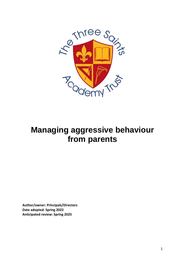

## **Managing aggressive behaviour from parents**

**Author/owner: Principals/Directors Date adopted: Spring 2022 Anticipated review: Spring 2025**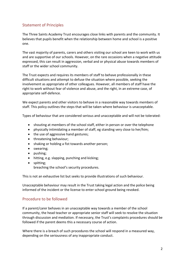## Statement of Principles

The Three Saints Academy Trust encourages close links with parents and the community. It believes that pupils benefit when the relationship between home and school is a positive one.

The vast majority of parents, carers and others visiting our school are keen to work with us and are supportive of our schools. However, on the rare occasions when a negative attitude expressed, this can result in aggression, verbal and or physical abuse towards members of staff or the wider school community.

The Trust expects and requires its members of staff to behave professionally in these difficult situations and attempt to defuse the situation where possible, seeking the involvement as appropriate of other colleagues. However, all members of staff have the right to work without fear of violence and abuse, and the right, in an extreme case, of appropriate self-defence.

We expect parents and other visitors to behave in a reasonable way towards members of staff. This policy outlines the steps that will be taken where behaviour is unacceptable.

Types of behaviour that are considered serious and unacceptable and will not be tolerated:

- shouting at members of the school staff, either in person or over the telephone
- physically intimidating a member of staff, eg standing very close to her/him;
- the use of aggressive hand gestures;
- threatening behaviour;
- shaking or holding a fist towards another person;
- swearing;
- pushing;
- hitting, e.g. slapping, punching and kicking;
- spitting; breaching the school's security procedures.

This is not an exhaustive list but seeks to provide illustrations of such behaviour.

Unacceptable behaviour may result in the Trust taking legal action and the police being informed of the incident or the license to enter school ground being revoked.

## Procedure to be followed

If a parent/carer behaves in an unacceptable way towards a member of the school community, the head teacher or appropriate senior staff will seek to resolve the situation through discussion and mediation. If necessary, the Trust's complaints procedures should be followed if the parent deems this a necessary course of action.

Where there is a breach of such procedures the school will respond in a measured way, depending on the seriousness of any inappropriate conduct.